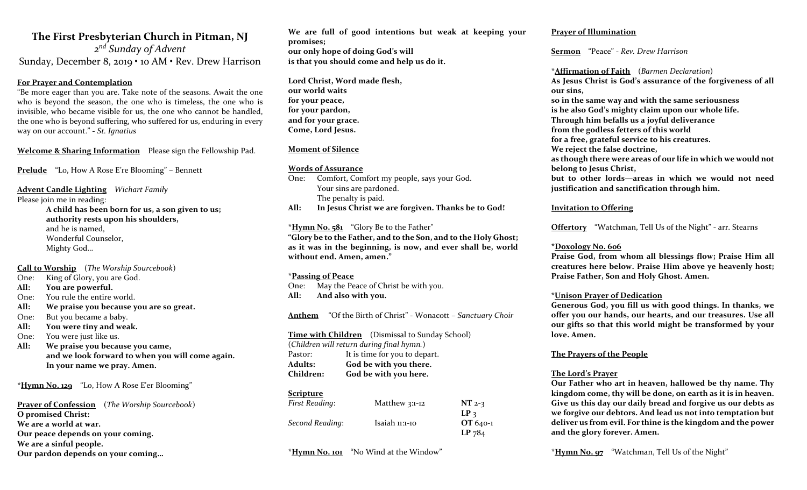### The First Presbyterian Church in Pitman, NJ

2<sup>nd</sup> Sunday of Advent Sunday, December 8, 2019 • 10 AM • Rev. Drew Harrison

#### For Prayer and Contemplation

"Be more eager than you are. Take note of the seasons. Await the one who is beyond the season, the one who is timeless, the one who is invisible, who became visible for us, the one who cannot be handled, the one who is beyond suffering, who suffered for us, enduring in every way on our account." - St. Ignatius

Welcome & Sharing Information Please sign the Fellowship Pad.

Prelude "Lo, How A Rose E're Blooming" – Bennett

Advent Candle Lighting Wichart Family Please join me in reading: A child has been born for us, a son given to us; authority rests upon his shoulders, and he is named, Wonderful Counselor, Mighty God…

Call to Worship (The Worship Sourcebook)

- One: King of Glory, you are God.
- All: You are powerful.
- One: You rule the entire world.
- All: We praise you because you are so great.
- One: But you became a baby.
- All: You were tiny and weak.
- One: You were just like us.
- All: We praise you because you came, and we look forward to when you will come again. In your name we pray. Amen.

\*Hymn No. 129 "Lo, How A Rose E'er Blooming"

Prayer of Confession (The Worship Sourcebook) O promised Christ: We are a world at war. Our peace depends on your coming. We are a sinful people. Our pardon depends on your coming…

We are full of good intentions but weak at keeping your promises; our only hope of doing God's will is that you should come and help us do it.

Lord Christ, Word made flesh, our world waits for your peace, for your pardon, and for your grace. Come, Lord Jesus.

#### Moment of Silence

#### Words of Assurance

- One: Comfort, Comfort my people, says your God. Your sins are pardoned. The penalty is paid.
- All: In Jesus Christ we are forgiven. Thanks be to God!

\*Hymn No. 581 "Glory Be to the Father" "Glory be to the Father, and to the Son, and to the Holy Ghost; as it was in the beginning, is now, and ever shall be, world without end. Amen, amen."

#### \*Passing of Peace

One: May the Peace of Christ be with you. All: And also with you.

Anthem "Of the Birth of Christ" - Wonacott - Sanctuary Choir

Time with Children (Dismissal to Sunday School)

(Children will return during final hymn.) Pastor: It is time for you to depart. Adults: God be with you there. Children: God be with you here.

#### Scripture

| First Reading:  | Matthew $3:1-12$ | $NT$ 2-3        |
|-----------------|------------------|-----------------|
|                 |                  | LP <sub>3</sub> |
| Second Reading: | Isaiah 11:1-10   | $OT 640-1$      |
|                 |                  | $LP$ 784        |

\*Hymn No. 101 "No Wind at the Window"

#### Prayer of Illumination

Sermon "Peace" - Rev. Drew Harrison

\*Affirmation of Faith (Barmen Declaration) As Jesus Christ is God's assurance of the forgiveness of all our sins, so in the same way and with the same seriousness is he also God's mighty claim upon our whole life. Through him befalls us a joyful deliverance from the godless fetters of this world for a free, grateful service to his creatures. We reject the false doctrine, as though there were areas of our life in which we would not belong to Jesus Christ, but to other lords—areas in which we would not need justification and sanctification through him.

#### Invitation to Offering

Offertory "Watchman, Tell Us of the Night" - arr. Stearns

#### \*Doxology No. 606

Praise God, from whom all blessings flow; Praise Him all creatures here below. Praise Him above ye heavenly host; Praise Father, Son and Holy Ghost. Amen.

#### \*Unison Prayer of Dedication

Generous God, you fill us with good things. In thanks, we offer you our hands, our hearts, and our treasures. Use all our gifts so that this world might be transformed by your love. Amen.

#### The Prayers of the People

#### The Lord's Prayer

Our Father who art in heaven, hallowed be thy name. Thy kingdom come, thy will be done, on earth as it is in heaven. Give us this day our daily bread and forgive us our debts as we forgive our debtors. And lead us not into temptation but deliver us from evil. For thine is the kingdom and the power and the glory forever. Amen.

\*Hymn No. 97 "Watchman, Tell Us of the Night"